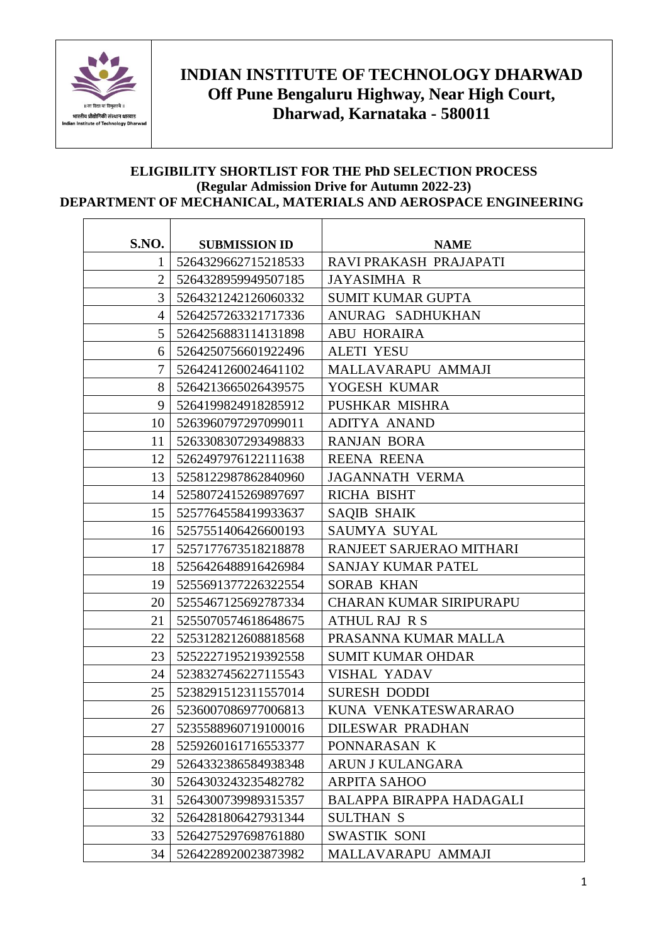

### **ELIGIBILITY SHORTLIST FOR THE PhD SELECTION PROCESS (Regular Admission Drive for Autumn 2022-23) DEPARTMENT OF MECHANICAL, MATERIALS AND AEROSPACE ENGINEERING**

| <b>S.NO.</b>   |                                             |                                          |
|----------------|---------------------------------------------|------------------------------------------|
| 1              | <b>SUBMISSION ID</b><br>5264329662715218533 | <b>NAME</b><br>RAVI PRAKASH PRAJAPATI    |
| $\overline{2}$ | 5264328959949507185                         | <b>JAYASIMHA R</b>                       |
| 3              | 5264321242126060332                         | <b>SUMIT KUMAR GUPTA</b>                 |
| 4              | 5264257263321717336                         | ANURAG SADHUKHAN                         |
| 5              | 5264256883114131898                         | <b>ABU HORAIRA</b>                       |
| 6              | 5264250756601922496                         | <b>ALETI YESU</b>                        |
| 7              | 5264241260024641102                         | MALLAVARAPU AMMAJI                       |
| 8              | 5264213665026439575                         | YOGESH KUMAR                             |
| 9              | 5264199824918285912                         | PUSHKAR MISHRA                           |
| 10             | 5263960797297099011                         | ADITYA ANAND                             |
| 11             | 5263308307293498833                         | <b>RANJAN BORA</b>                       |
| 12             | 5262497976122111638                         | <b>REENA REENA</b>                       |
| 13             | 5258122987862840960                         | <b>JAGANNATH VERMA</b>                   |
| 14             | 5258072415269897697                         | RICHA BISHT                              |
| 15             | 5257764558419933637                         | <b>SAQIB SHAIK</b>                       |
| 16             | 5257551406426600193                         | SAUMYA SUYAL                             |
| 17             | 5257177673518218878                         | RANJEET SARJERAO MITHARI                 |
| 18             | 5256426488916426984                         | <b>SANJAY KUMAR PATEL</b>                |
| 19             | 5255691377226322554                         | SORAB KHAN                               |
| 20             | 5255467125692787334                         | <b>CHARAN KUMAR SIRIPURAPU</b>           |
| 21             | 5255070574618648675                         | ATHUL RAJ R S                            |
| 22             | 5253128212608818568                         | PRASANNA KUMAR MALLA                     |
| 23             |                                             | <b>SUMIT KUMAR OHDAR</b>                 |
| 24             | 5252227195219392558<br>5238327456227115543  | <b>VISHAL YADAV</b>                      |
| 25             | 5238291512311557014                         | <b>SURESH DODDI</b>                      |
|                | 5236007086977006813                         |                                          |
| 26<br>27       | 5235588960719100016                         | KUNA VENKATESWARARAO<br>DILESWAR PRADHAN |
|                |                                             |                                          |
| 28             | 5259260161716553377                         | PONNARASAN K                             |
| 29             | 5264332386584938348                         | ARUN J KULANGARA                         |
| 30             | 5264303243235482782                         | <b>ARPITA SAHOO</b>                      |
| 31             | 5264300739989315357                         | <b>BALAPPA BIRAPPA HADAGALI</b>          |
| 32             | 5264281806427931344                         | <b>SULTHAN S</b>                         |
| 33             | 5264275297698761880                         | <b>SWASTIK SONI</b>                      |
| 34             | 5264228920023873982                         | MALLAVARAPU AMMAJI                       |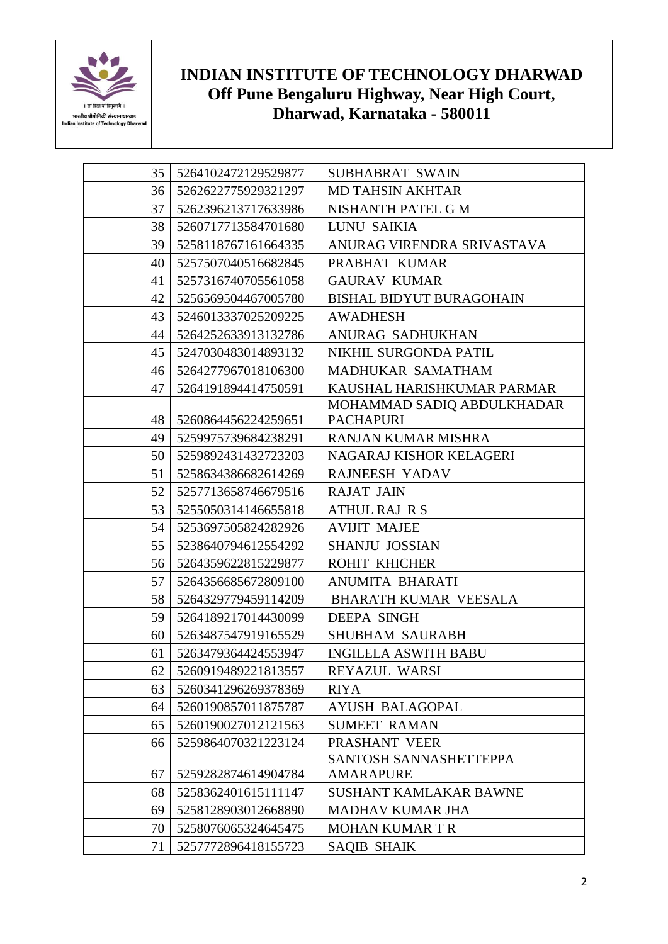

| 35 | 5264102472129529877 | <b>SUBHABRAT SWAIN</b>          |
|----|---------------------|---------------------------------|
| 36 | 5262622775929321297 | <b>MD TAHSIN AKHTAR</b>         |
| 37 | 5262396213717633986 | NISHANTH PATEL G M              |
| 38 | 5260717713584701680 | <b>LUNU SAIKIA</b>              |
| 39 | 5258118767161664335 | ANURAG VIRENDRA SRIVASTAVA      |
| 40 | 5257507040516682845 | PRABHAT KUMAR                   |
| 41 | 5257316740705561058 | <b>GAURAV KUMAR</b>             |
| 42 | 5256569504467005780 | <b>BISHAL BIDYUT BURAGOHAIN</b> |
| 43 | 5246013337025209225 | <b>AWADHESH</b>                 |
| 44 | 5264252633913132786 | <b>ANURAG SADHUKHAN</b>         |
| 45 | 5247030483014893132 | NIKHIL SURGONDA PATIL           |
| 46 | 5264277967018106300 | MADHUKAR SAMATHAM               |
| 47 | 5264191894414750591 | KAUSHAL HARISHKUMAR PARMAR      |
|    |                     | MOHAMMAD SADIQ ABDULKHADAR      |
| 48 | 5260864456224259651 | <b>PACHAPURI</b>                |
| 49 | 5259975739684238291 | <b>RANJAN KUMAR MISHRA</b>      |
| 50 | 5259892431432723203 | NAGARAJ KISHOR KELAGERI         |
| 51 | 5258634386682614269 | RAJNEESH YADAV                  |
| 52 | 5257713658746679516 | <b>RAJAT JAIN</b>               |
| 53 | 5255050314146655818 | <b>ATHUL RAJ R S</b>            |
| 54 | 5253697505824282926 | <b>AVIJIT MAJEE</b>             |
| 55 | 5238640794612554292 | <b>SHANJU JOSSIAN</b>           |
| 56 | 5264359622815229877 | <b>ROHIT KHICHER</b>            |
| 57 | 5264356685672809100 | <b>ANUMITA BHARATI</b>          |
| 58 | 5264329779459114209 | <b>BHARATH KUMAR VEESALA</b>    |
| 59 | 5264189217014430099 | <b>DEEPA SINGH</b>              |
| 60 | 5263487547919165529 | <b>SHUBHAM SAURABH</b>          |
| 61 | 5263479364424553947 | <b>INGILELA ASWITH BABU</b>     |
| 62 | 5260919489221813557 | REYAZUL WARSI                   |
| 63 | 5260341296269378369 | <b>RIYA</b>                     |
| 64 | 5260190857011875787 | <b>AYUSH BALAGOPAL</b>          |
| 65 | 5260190027012121563 | <b>SUMEET RAMAN</b>             |
| 66 | 5259864070321223124 | PRASHANT VEER                   |
|    |                     | SANTOSH SANNASHETTEPPA          |
| 67 | 5259282874614904784 | <b>AMARAPURE</b>                |
| 68 | 5258362401615111147 | <b>SUSHANT KAMLAKAR BAWNE</b>   |
| 69 | 5258128903012668890 | <b>MADHAV KUMAR JHA</b>         |
| 70 | 5258076065324645475 | <b>MOHAN KUMAR T R</b>          |
| 71 | 5257772896418155723 | <b>SAQIB SHAIK</b>              |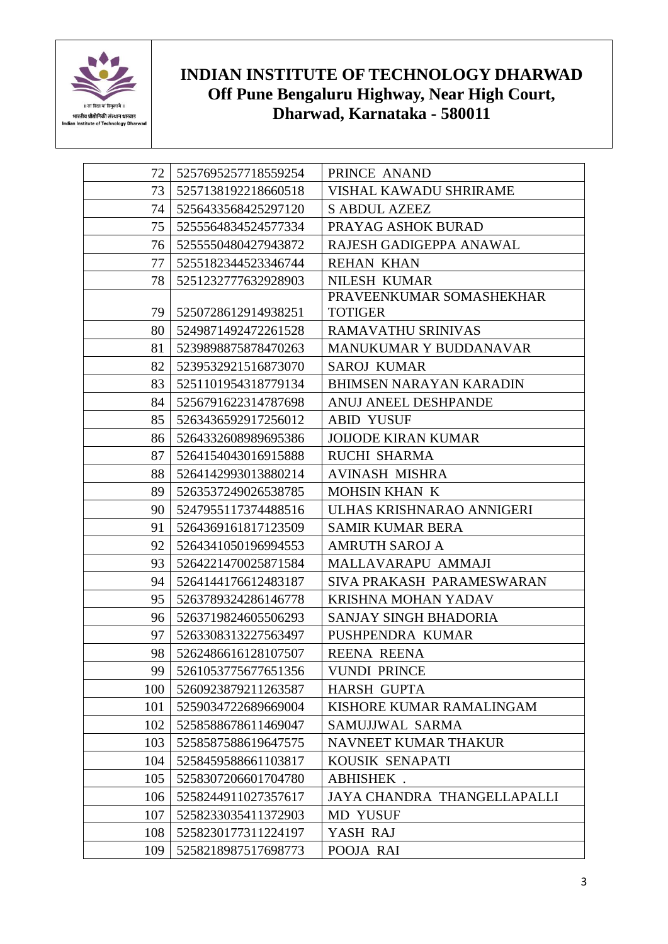

| 72  | 5257695257718559254 | PRINCE ANAND                   |
|-----|---------------------|--------------------------------|
| 73  | 5257138192218660518 | VISHAL KAWADU SHRIRAME         |
| 74  | 5256433568425297120 | <b>S ABDUL AZEEZ</b>           |
| 75  | 5255564834524577334 | PRAYAG ASHOK BURAD             |
| 76  | 5255550480427943872 | RAJESH GADIGEPPA ANAWAL        |
| 77  | 5255182344523346744 | <b>REHAN KHAN</b>              |
| 78. | 5251232777632928903 | <b>NILESH KUMAR</b>            |
|     |                     | PRAVEENKUMAR SOMASHEKHAR       |
| 79  | 5250728612914938251 | <b>TOTIGER</b>                 |
| 80  | 5249871492472261528 | RAMAVATHU SRINIVAS             |
| 81  | 5239898875878470263 | <b>MANUKUMAR Y BUDDANAVAR</b>  |
| 82  | 5239532921516873070 | <b>SAROJ KUMAR</b>             |
| 83  | 5251101954318779134 | <b>BHIMSEN NARAYAN KARADIN</b> |
| 84  | 5256791622314787698 | <b>ANUJ ANEEL DESHPANDE</b>    |
| 85  | 5263436592917256012 | <b>ABID YUSUF</b>              |
| 86  | 5264332608989695386 | <b>JOIJODE KIRAN KUMAR</b>     |
| 87  | 5264154043016915888 | <b>RUCHI SHARMA</b>            |
| 88  | 5264142993013880214 | <b>AVINASH MISHRA</b>          |
| 89  | 5263537249026538785 | <b>MOHSIN KHAN K</b>           |
| 90  | 5247955117374488516 | ULHAS KRISHNARAO ANNIGERI      |
| 91  | 5264369161817123509 | <b>SAMIR KUMAR BERA</b>        |
| 92  | 5264341050196994553 | <b>AMRUTH SAROJ A</b>          |
| 93  | 5264221470025871584 | MALLAVARAPU AMMAJI             |
| 94  | 5264144176612483187 | SIVA PRAKASH PARAMESWARAN      |
| 95  | 5263789324286146778 | KRISHNA MOHAN YADAV            |
| 96  | 5263719824605506293 | SANJAY SINGH BHADORIA          |
| 97  | 5263308313227563497 | PUSHPENDRA KUMAR               |
| 98  | 5262486616128107507 | <b>REENA REENA</b>             |
| 99  | 5261053775677651356 | <b>VUNDI PRINCE</b>            |
| 100 | 5260923879211263587 | <b>HARSH GUPTA</b>             |
| 101 | 5259034722689669004 | KISHORE KUMAR RAMALINGAM       |
| 102 | 5258588678611469047 | SAMUJJWAL SARMA                |
| 103 | 5258587588619647575 | NAVNEET KUMAR THAKUR           |
| 104 | 5258459588661103817 | KOUSIK SENAPATI                |
| 105 | 5258307206601704780 | ABHISHEK.                      |
| 106 | 5258244911027357617 | JAYA CHANDRA THANGELLAPALLI    |
| 107 | 5258233035411372903 | <b>MD YUSUF</b>                |
| 108 | 5258230177311224197 | YASH RAJ                       |
| 109 | 5258218987517698773 | POOJA RAI                      |
|     |                     |                                |